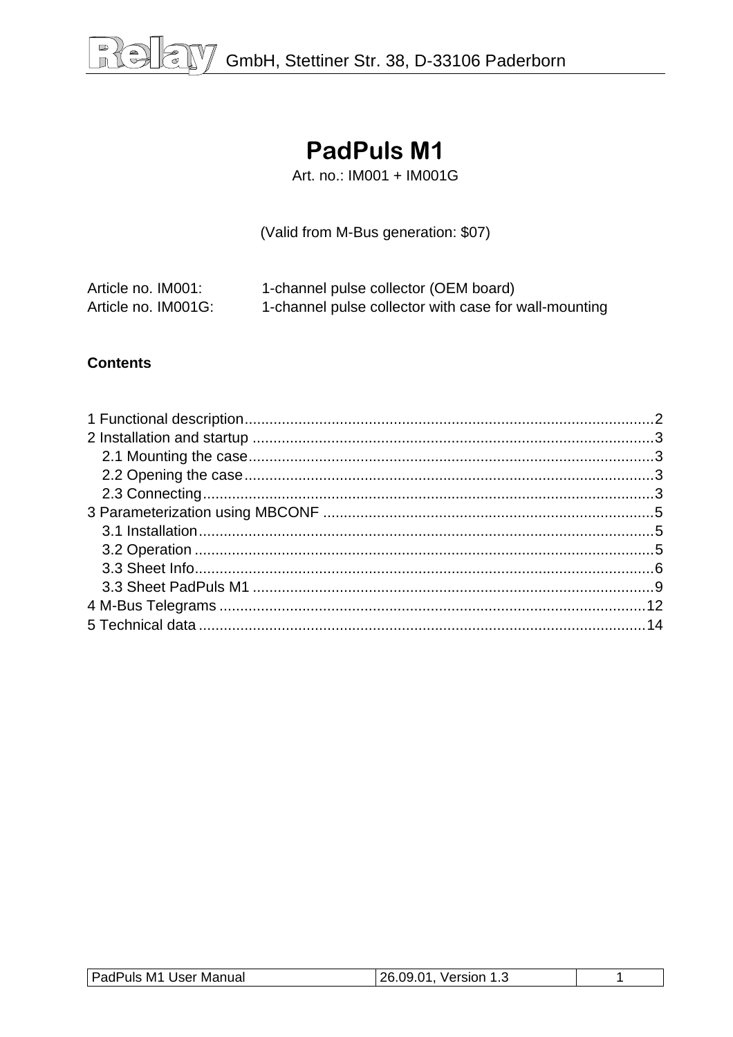# **PadPuls M1**

Art. no.: IM001 + IM001G

(Valid from M-Bus generation: \$07)

| Article no. IM001:  | 1-channel pulse collector (OEM board)                 |
|---------------------|-------------------------------------------------------|
| Article no. IM001G: | 1-channel pulse collector with case for wall-mounting |

#### **Contents**

| PadPuls M1 User Manual | 26.09.01<br>Version 1<br>ں. ا |  |
|------------------------|-------------------------------|--|
|                        |                               |  |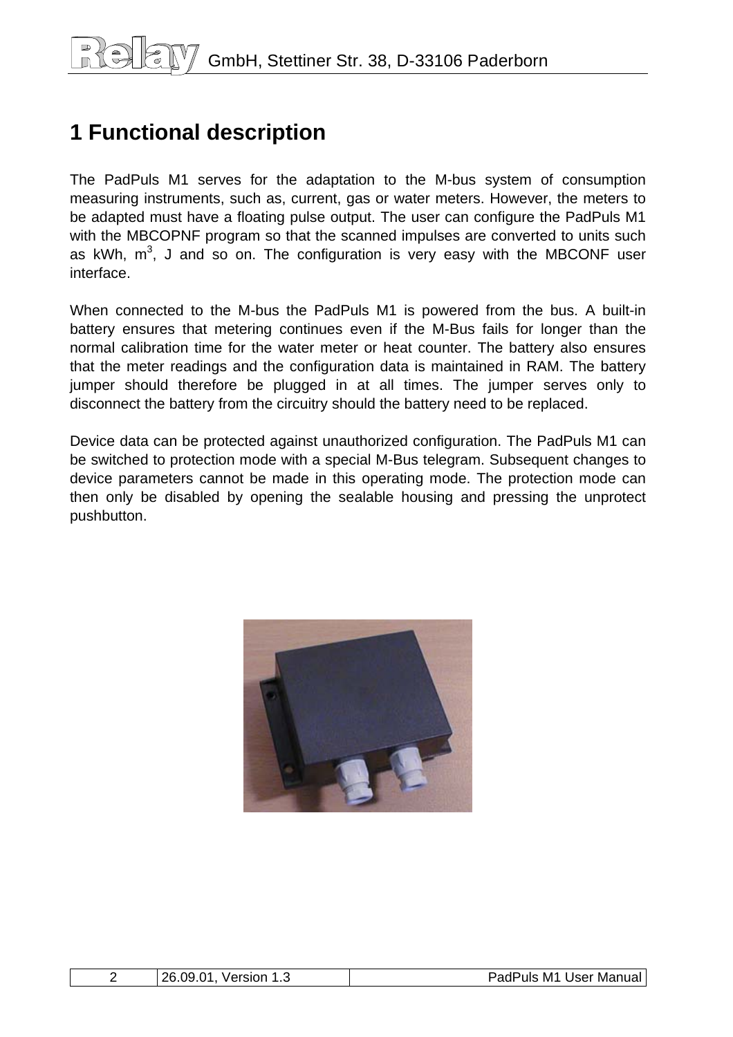# <span id="page-1-0"></span>**1 Functional description**

The PadPuls M1 serves for the adaptation to the M-bus system of consumption measuring instruments, such as, current, gas or water meters. However, the meters to be adapted must have a floating pulse output. The user can configure the PadPuls M1 with the MBCOPNF program so that the scanned impulses are converted to units such as kWh,  $m^3$ , J and so on. The configuration is very easy with the MBCONF user interface.

When connected to the M-bus the PadPuls M1 is powered from the bus. A built-in battery ensures that metering continues even if the M-Bus fails for longer than the normal calibration time for the water meter or heat counter. The battery also ensures that the meter readings and the configuration data is maintained in RAM. The battery jumper should therefore be plugged in at all times. The jumper serves only to disconnect the battery from the circuitry should the battery need to be replaced.

Device data can be protected against unauthorized configuration. The PadPuls M1 can be switched to protection mode with a special M-Bus telegram. Subsequent changes to device parameters cannot be made in this operating mode. The protection mode can then only be disabled by opening the sealable housing and pressing the unprotect pushbutton.



| 26<br>na<br>Ω1.<br>Version | 10M<br>User<br>Manual<br>M1<br>ັ <sup>ບ</sup> uls .<br>∽au. |
|----------------------------|-------------------------------------------------------------|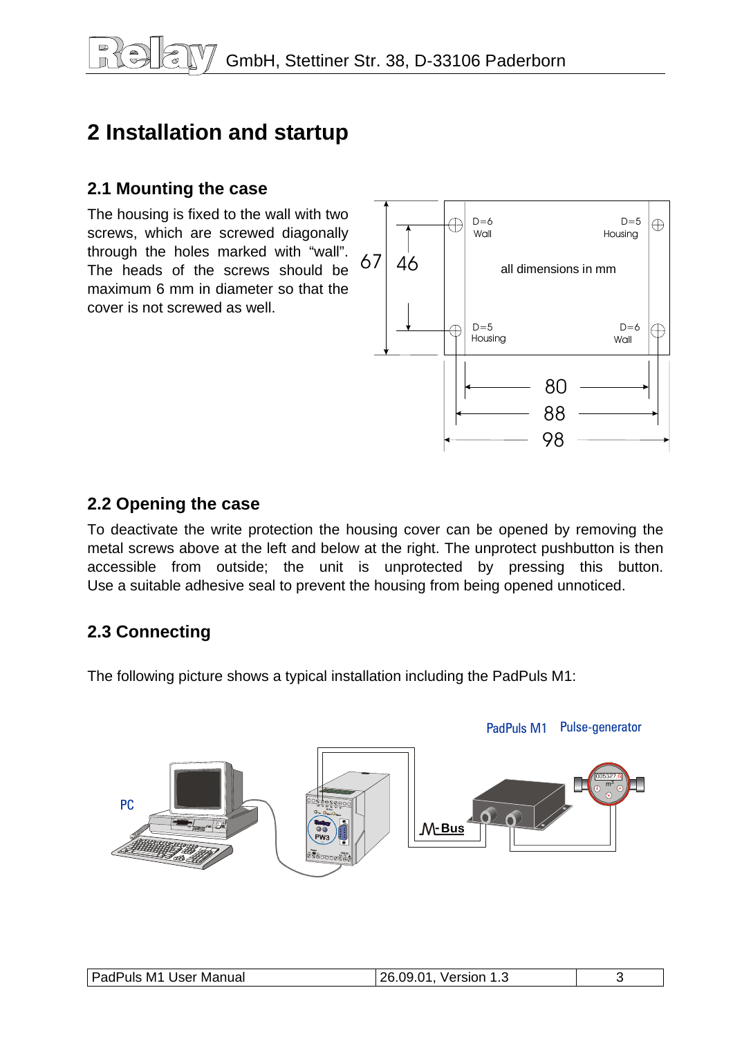# <span id="page-2-0"></span>**2 Installation and startup**

### **2.1 Mounting the case**

The housing is fixed to the wall with two screws, which are screwed diagonally through the holes marked with "wall". The heads of the screws should be maximum 6 mm in diameter so that the cover is not screwed as well.



### **2.2 Opening the case**

To deactivate the write protection the housing cover can be opened by removing the metal screws above at the left and below at the right. The unprotect pushbutton is then accessible from outside; the unit is unprotected by pressing this button. Use a suitable adhesive seal to prevent the housing from being opened unnoticed.

## **2.3 Connecting**

The following picture shows a typical installation including the PadPuls M1:



|--|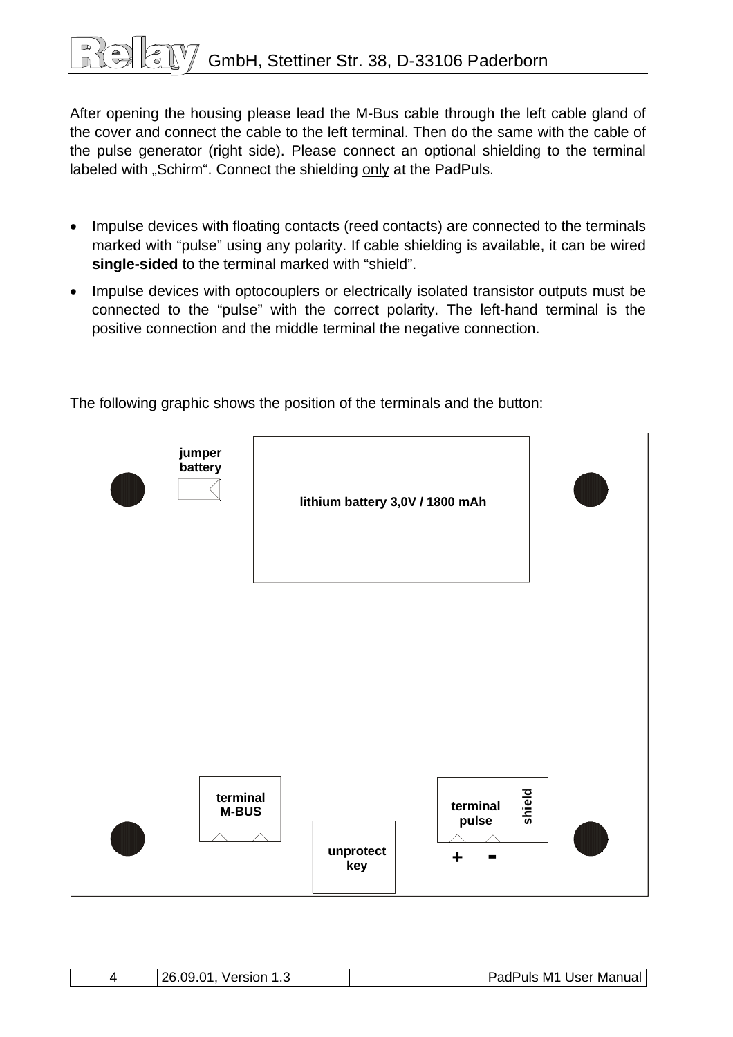# GmbH, Stettiner Str. 38, D-33106 Paderborn

After opening the housing please lead the M-Bus cable through the left cable gland of the cover and connect the cable to the left terminal. Then do the same with the cable of the pulse generator (right side). Please connect an optional shielding to the terminal labeled with "Schirm". Connect the shielding only at the PadPuls.

- Impulse devices with floating contacts (reed contacts) are connected to the terminals marked with "pulse" using any polarity. If cable shielding is available, it can be wired **single-sided** to the terminal marked with "shield".
- Impulse devices with optocouplers or electrically isolated transistor outputs must be connected to the "pulse" with the correct polarity. The left-hand terminal is the positive connection and the middle terminal the negative connection.



The following graphic shows the position of the terminals and the button:

| 26.09.<br>Version<br>ں. ا | PadPuls M1 User Manual |
|---------------------------|------------------------|
|---------------------------|------------------------|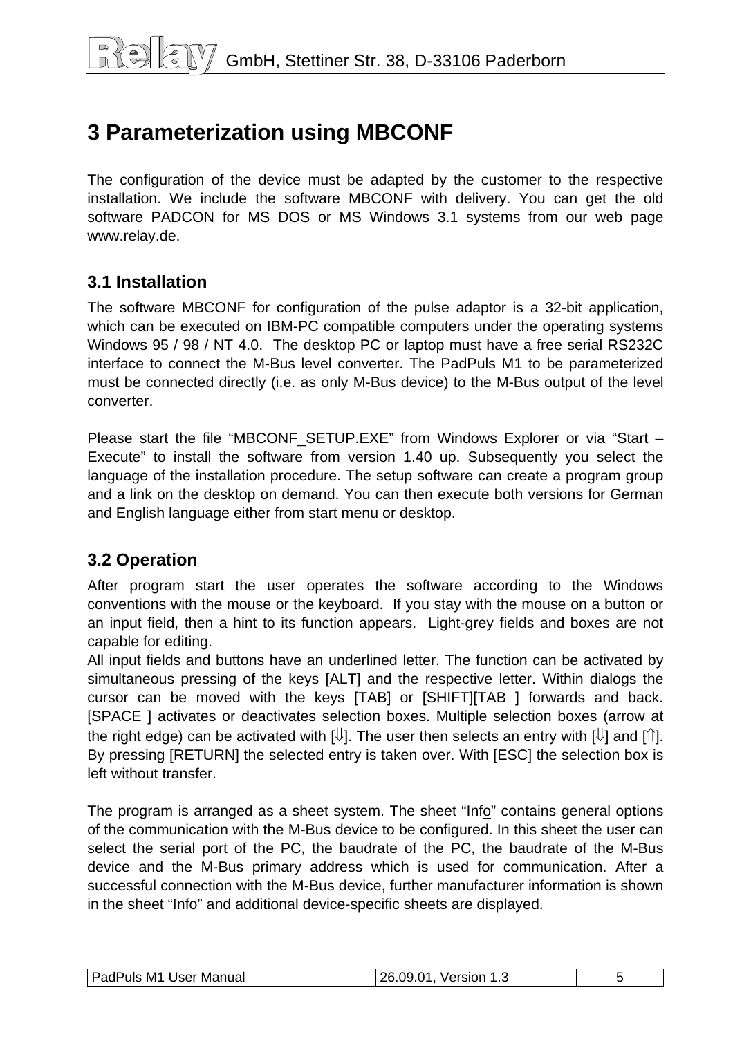# <span id="page-4-0"></span>**3 Parameterization using MBCONF**

The configuration of the device must be adapted by the customer to the respective installation. We include the software MBCONF with delivery. You can get the old software PADCON for MS DOS or MS Windows 3.1 systems from our web page www.relay.de.

### **3.1 Installation**

The software MBCONF for configuration of the pulse adaptor is a 32-bit application, which can be executed on IBM-PC compatible computers under the operating systems Windows 95 / 98 / NT 4.0. The desktop PC or laptop must have a free serial RS232C interface to connect the M-Bus level converter. The PadPuls M1 to be parameterized must be connected directly (i.e. as only M-Bus device) to the M-Bus output of the level converter.

Please start the file "MBCONF SETUP.EXE" from Windows Explorer or via "Start – Execute" to install the software from version 1.40 up. Subsequently you select the language of the installation procedure. The setup software can create a program group and a link on the desktop on demand. You can then execute both versions for German and English language either from start menu or desktop.

## **3.2 Operation**

After program start the user operates the software according to the Windows conventions with the mouse or the keyboard. If you stay with the mouse on a button or an input field, then a hint to its function appears. Light-grey fields and boxes are not capable for editing.

All input fields and buttons have an underlined letter. The function can be activated by simultaneous pressing of the keys [ALT] and the respective letter. Within dialogs the cursor can be moved with the keys [TAB] or [SHIFT][TAB ] forwards and back. [SPACE ] activates or deactivates selection boxes. Multiple selection boxes (arrow at the right edge) can be activated with  $[\mathbb{U}]$ . The user then selects an entry with  $[\mathbb{U}]$  and  $[\mathbb{N}]$ . By pressing [RETURN] the selected entry is taken over. With [ESC] the selection box is left without transfer.

The program is arranged as a sheet system. The sheet "Info" contains general options of the communication with the M-Bus device to be configured. In this sheet the user can select the serial port of the PC, the baudrate of the PC, the baudrate of the M-Bus device and the M-Bus primary address which is used for communication. After a successful connection with the M-Bus device, further manufacturer information is shown in the sheet "Info" and additional device-specific sheets are displayed.

| PadPuls<br>M <sub>1</sub><br>User Manual | n4<br>ገፎ<br>Version<br>.09.<br>ں. ا |  |
|------------------------------------------|-------------------------------------|--|
|------------------------------------------|-------------------------------------|--|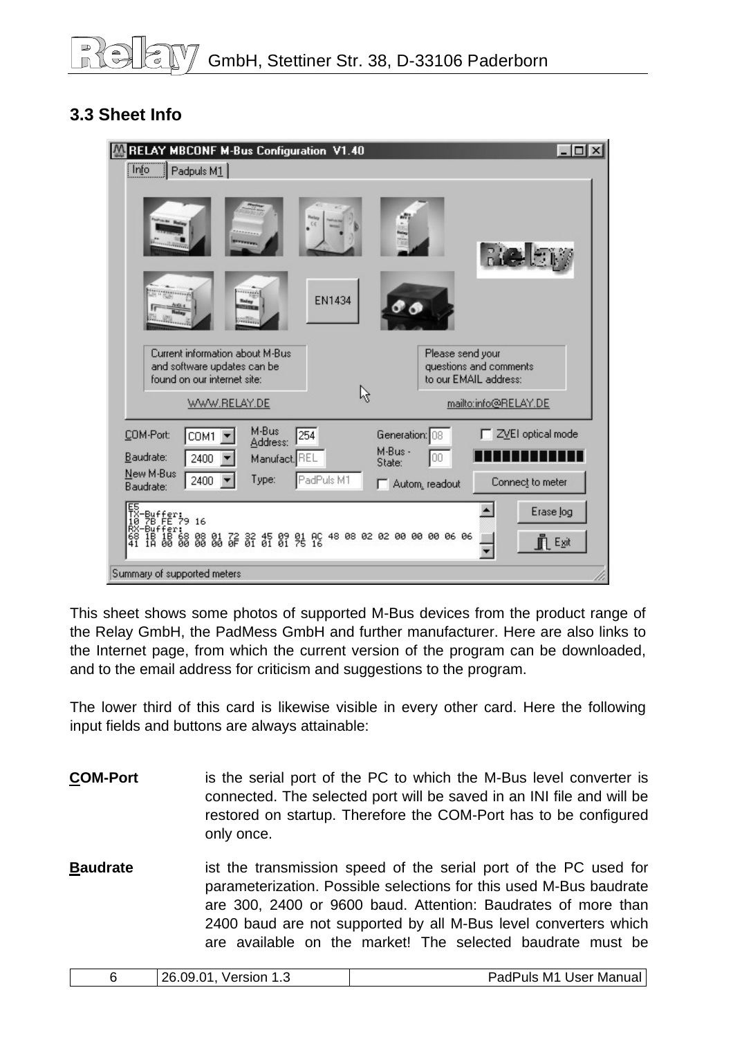## <span id="page-5-0"></span>**3.3 Sheet Info**

| RELAY MBCONF M-Bus Configuration V1.40                                                                                                              | $ \Box$ $\times$                                                                                     |
|-----------------------------------------------------------------------------------------------------------------------------------------------------|------------------------------------------------------------------------------------------------------|
| Info<br>$\Box$ Padpuls M1                                                                                                                           |                                                                                                      |
| C <sub>5</sub><br><b>EN1434</b><br><b>Rains</b><br><b>Chines</b>                                                                                    | <b>Rice E</b> M                                                                                      |
| Current information about M-Bus<br>and software updates can be<br>found on our internet site:<br>ß<br>WWW.RELAY.DE                                  | Please send your<br>questions and comments<br>to our EMAIL address:<br>mailto:info@RELAY.DE          |
| M-Bus<br>254<br>COM-Port:<br>COM1<br>Address:<br>Baudrate:<br>2400<br>Manufact, REL<br>New M-Bus<br>PadPuls M1<br>Type:<br>2400<br>Baudrate:        | ZVEI optical mode<br>Generation: 08<br>M-Bus -<br>00<br>State:<br>Connect to meter<br>Autom, readout |
| 階#t*;<br>階#t*?9 16<br>Buffer:<br>18 18 68 08 01 72 32 45 09 01 AC 48 08 02 02 00 00 00 06 06<br>1A 00 00 00 00 0F 01 01 01 75 16<br>$\frac{68}{41}$ | Erase log<br><b>F</b> Exit                                                                           |
| Summary of supported meters                                                                                                                         |                                                                                                      |

This sheet shows some photos of supported M-Bus devices from the product range of the Relay GmbH, the PadMess GmbH and further manufacturer. Here are also links to the Internet page, from which the current version of the program can be downloaded, and to the email address for criticism and suggestions to the program.

The lower third of this card is likewise visible in every other card. Here the following input fields and buttons are always attainable:

- **COM-Port** is the serial port of the PC to which the M-Bus level converter is connected. The selected port will be saved in an INI file and will be restored on startup. Therefore the COM-Port has to be configured only once.
- **Baudrate** ist the transmission speed of the serial port of the PC used for parameterization. Possible selections for this used M-Bus baudrate are 300, 2400 or 9600 baud. Attention: Baudrates of more than 2400 baud are not supported by all M-Bus level converters which are available on the market! The selected baudrate must be

| 26.09.01<br>Version<br>. ت | User Manual<br>PadPuls M1 |
|----------------------------|---------------------------|
|----------------------------|---------------------------|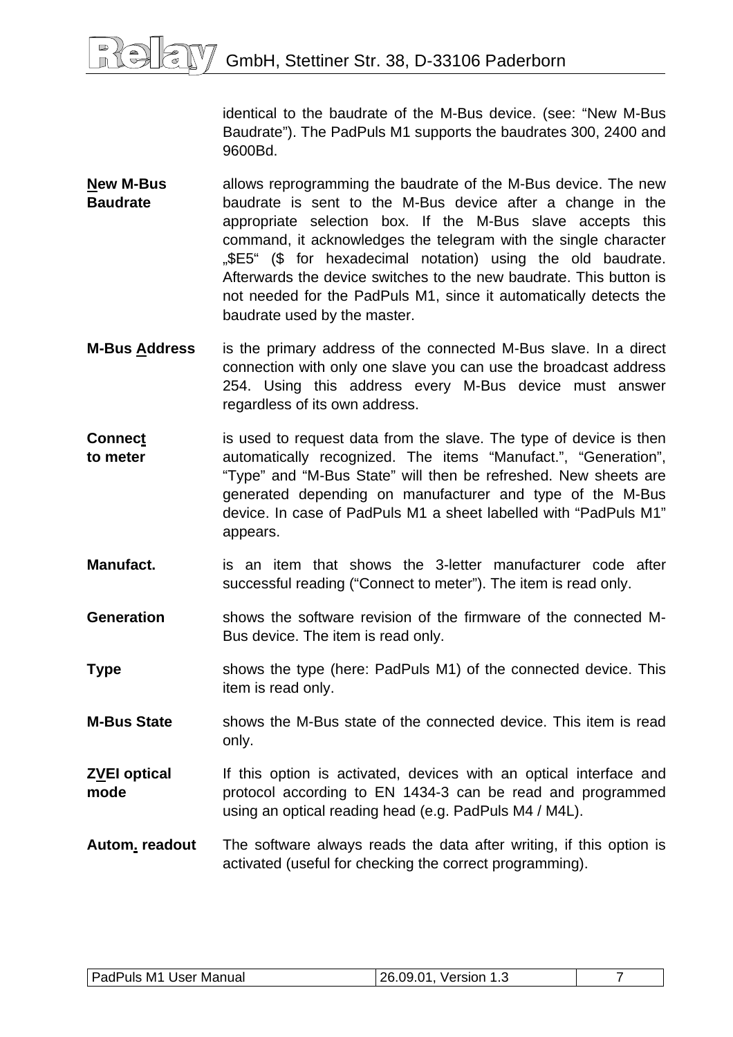identical to the baudrate of the M-Bus device. (see: "New M-Bus Baudrate"). The PadPuls M1 supports the baudrates 300, 2400 and 9600Bd.

- **New M-Bus Baudrate**  allows reprogramming the baudrate of the M-Bus device. The new baudrate is sent to the M-Bus device after a change in the appropriate selection box. If the M-Bus slave accepts this command, it acknowledges the telegram with the single character "\$E5" (\$ for hexadecimal notation) using the old baudrate. Afterwards the device switches to the new baudrate. This button is not needed for the PadPuls M1, since it automatically detects the baudrate used by the master.
- **M-Bus Address** is the primary address of the connected M-Bus slave. In a direct connection with only one slave you can use the broadcast address 254. Using this address every M-Bus device must answer regardless of its own address.
- **Connect to meter**  is used to request data from the slave. The type of device is then automatically recognized. The items "Manufact.", "Generation", "Type" and "M-Bus State" will then be refreshed. New sheets are generated depending on manufacturer and type of the M-Bus device. In case of PadPuls M1 a sheet labelled with "PadPuls M1" appears.
- **Manufact.** is an item that shows the 3-letter manufacturer code after successful reading ("Connect to meter"). The item is read only.
- **Generation** shows the software revision of the firmware of the connected M-Bus device. The item is read only.
- **Type** shows the type (here: PadPuls M1) of the connected device. This item is read only.
- **M-Bus State** shows the M-Bus state of the connected device. This item is read only.
- **ZVEI optical mode**  If this option is activated, devices with an optical interface and protocol according to EN 1434-3 can be read and programmed using an optical reading head (e.g. PadPuls M4 / M4L).
- **Autom. readout** The software always reads the data after writing, if this option is activated (useful for checking the correct programming).

| PadPuls M1 User Manual | 26.09.01,<br>Version 1.3 |  |
|------------------------|--------------------------|--|
|                        |                          |  |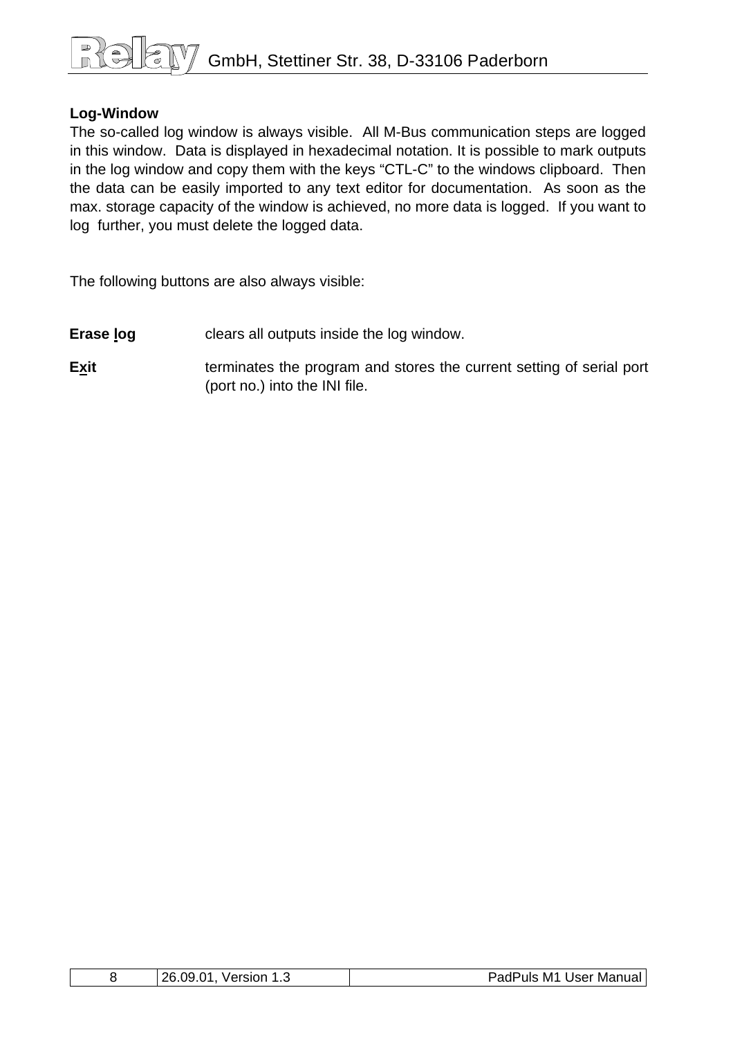# GmbH, Stettiner Str. 38, D-33106 Paderborn

#### **Log-Window**

The so-called log window is always visible. All M-Bus communication steps are logged in this window. Data is displayed in hexadecimal notation. It is possible to mark outputs in the log window and copy them with the keys "CTL-C" to the windows clipboard. Then the data can be easily imported to any text editor for documentation. As soon as the max. storage capacity of the window is achieved, no more data is logged. If you want to log further, you must delete the logged data.

The following buttons are also always visible:

- **Erase log clears all outputs inside the log window.**
- **Exit Exit terminates the program and stores the current setting of serial port** (port no.) into the INI file.

|  | າຂ<br>. റവ<br>.N1<br>`′ersion<br>ن. ا | Manual I<br>M1 د<br>Jser<br>ו הנ<br>Puls.<br>au |
|--|---------------------------------------|-------------------------------------------------|
|--|---------------------------------------|-------------------------------------------------|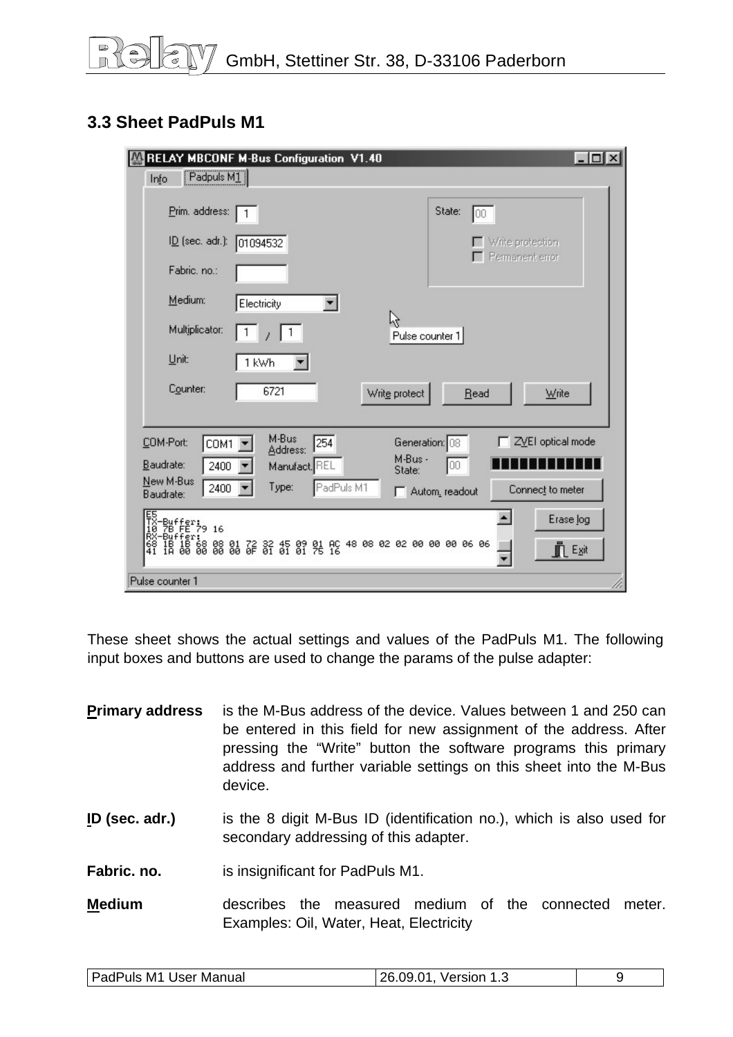## <span id="page-8-0"></span>**3.3 Sheet PadPuls M1**

| RELAY MBCONF M-Bus Configuration V1.40                                                                                               | $ \Box$ $\times$                        |
|--------------------------------------------------------------------------------------------------------------------------------------|-----------------------------------------|
| $\boxed{\text{Padpuls } \text{M1}}$<br>Info                                                                                          |                                         |
| Prim. address:                                                                                                                       | State:<br>100                           |
| $I\underline{D}$ (sec. adr.):<br>01094532                                                                                            | Write protection                        |
| Fabric. no.:                                                                                                                         | Permanent error                         |
| Medium:<br>Electricity                                                                                                               |                                         |
| Multiplicator:                                                                                                                       | ド<br>Pulse counter 1                    |
| Unit:<br>1 kWh                                                                                                                       |                                         |
| Counter:<br>6721                                                                                                                     | Write protect<br>Write<br>Read          |
|                                                                                                                                      |                                         |
| M-Bus<br>254<br>COM-Port:<br>COM1<br>Address:                                                                                        | ZVEI optical mode<br>Generation: 08     |
| Baudrate:<br>2400<br>Manufact. REL                                                                                                   | M-Bus -<br>00<br>State:                 |
| New M-Bus<br>PadPuls M1<br>Type:<br>2400<br>Baudrate:                                                                                | Connect to meter<br>Autom, readout<br>п |
| -Buffer:<br>78 FE 79 16                                                                                                              | $\blacktriangle$<br>Erase log           |
| :Fer:<br>1B 68 08 01 72 32 45 09 01 AC 48 08 02 02 00 00 00 06 06<br>00 00 00 00 06 0F 01 01 01 75 16<br>IB<br>18<br>$\frac{68}{41}$ | <b>FLExit</b>                           |
| Pulse counter 1                                                                                                                      |                                         |

These sheet shows the actual settings and values of the PadPuls M1. The following input boxes and buttons are used to change the params of the pulse adapter:

| <b>Primary address</b> | is the M-Bus address of the device. Values between 1 and 250 can<br>be entered in this field for new assignment of the address. After<br>pressing the "Write" button the software programs this primary<br>address and further variable settings on this sheet into the M-Bus<br>device. |
|------------------------|------------------------------------------------------------------------------------------------------------------------------------------------------------------------------------------------------------------------------------------------------------------------------------------|
| ID (sec. adr.)         | is the 8 digit M-Bus ID (identification no.), which is also used for<br>secondary addressing of this adapter.                                                                                                                                                                            |
| Fabric, no.            | is insignificant for PadPuls M1.                                                                                                                                                                                                                                                         |
| <b>Medium</b>          | measured medium of the connected<br>the<br>describes<br>meter.<br>Examples: Oil, Water, Heat, Electricity                                                                                                                                                                                |

| <b>PadPuls M1 User Manual</b><br>26.09.01,<br>Version 1.3 |
|-----------------------------------------------------------|
|-----------------------------------------------------------|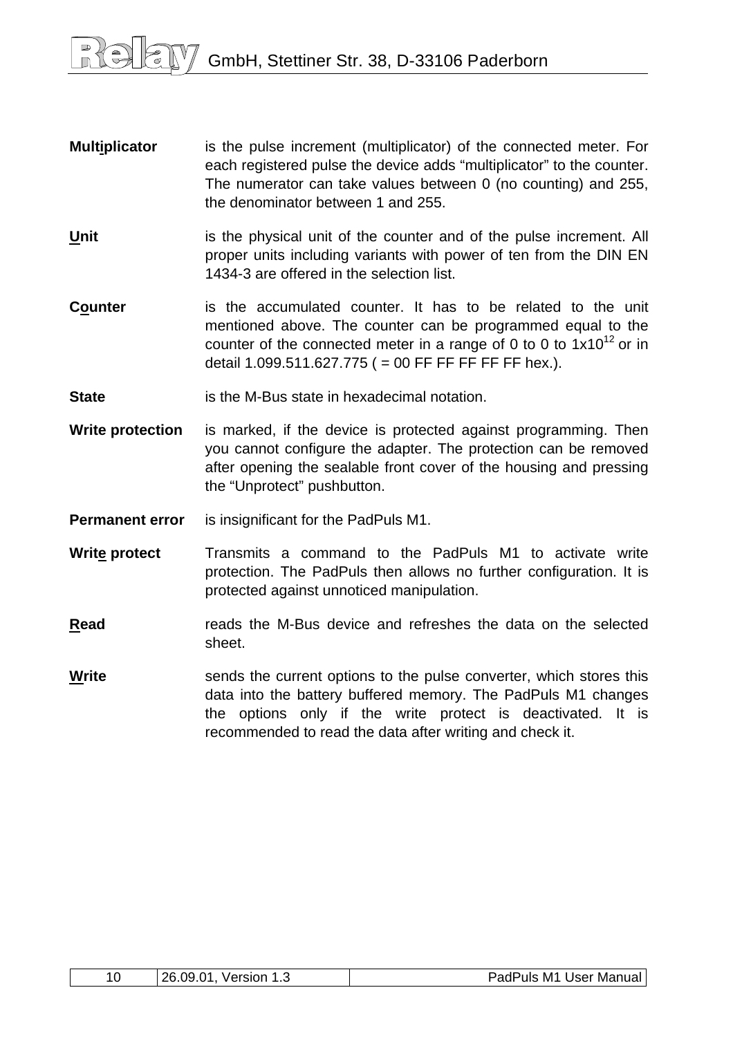- **Multiplicator** is the pulse increment (multiplicator) of the connected meter. For each registered pulse the device adds "multiplicator" to the counter. The numerator can take values between 0 (no counting) and 255, the denominator between 1 and 255.
- **Unit** is the physical unit of the counter and of the pulse increment. All proper units including variants with power of ten from the DIN EN 1434-3 are offered in the selection list.
- **Counter** is the accumulated counter. It has to be related to the unit mentioned above. The counter can be programmed equal to the counter of the connected meter in a range of 0 to 0 to  $1x10^{12}$  or in detail  $1.099.511.627.775$  ( = 00 FF FF FF FF FF hex.).
- **State is the M-Bus state in hexadecimal notation.**
- **Write protection** is marked, if the device is protected against programming. Then you cannot configure the adapter. The protection can be removed after opening the sealable front cover of the housing and pressing the "Unprotect" pushbutton.
- **Permanent error** is insignificant for the PadPuls M1.
- **Write protect** Transmits a command to the PadPuls M1 to activate write protection. The PadPuls then allows no further configuration. It is protected against unnoticed manipulation.
- **Read** reads the M-Bus device and refreshes the data on the selected sheet.
- **Write** sends the current options to the pulse converter, which stores this data into the battery buffered memory. The PadPuls M1 changes the options only if the write protect is deactivated. It is recommended to read the data after writing and check it.

| 10<br>ጋፎ | റവ<br>ֿ^<br>Version<br>LU.UJ<br> | PadPuls<br>M1<br>Jser<br>Manual |
|----------|----------------------------------|---------------------------------|
|----------|----------------------------------|---------------------------------|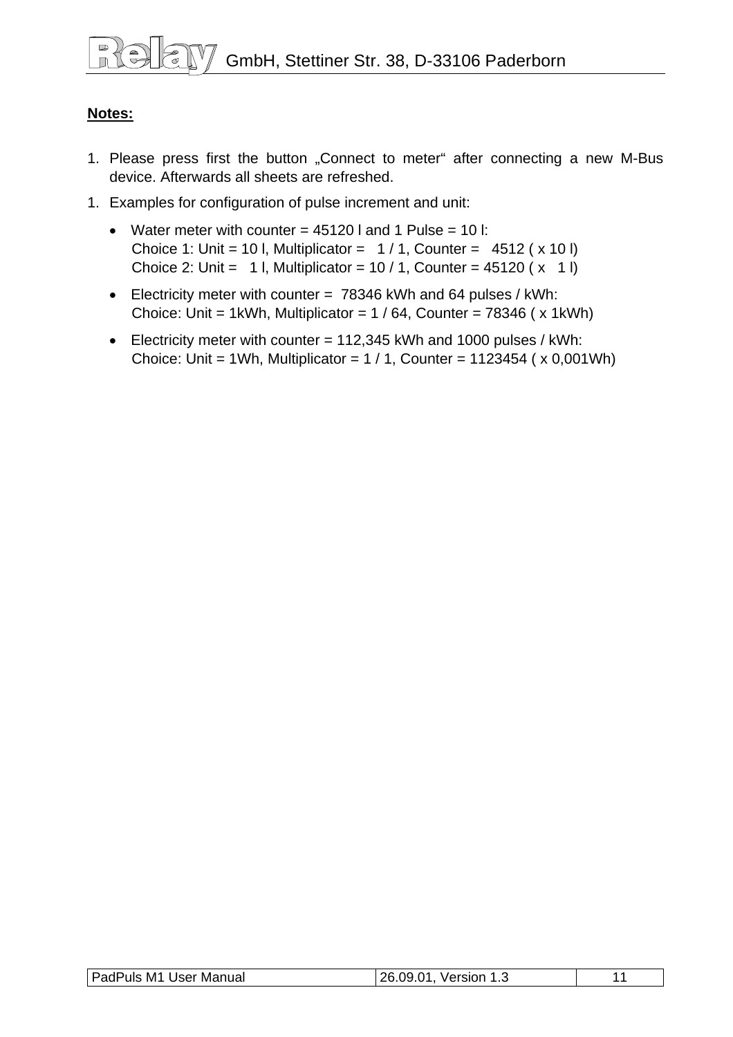#### **Notes:**

- 1. Please press first the button "Connect to meter" after connecting a new M-Bus device. Afterwards all sheets are refreshed.
- 1. Examples for configuration of pulse increment and unit:
	- Water meter with counter  $= 45120$  I and 1 Pulse  $= 10$  I: Choice 1: Unit = 10 l, Multiplicator =  $1 / 1$ , Counter = 4512 ( x 10 l) Choice 2: Unit = 1 l, Multiplicator =  $10/1$ , Counter =  $45120(x + 1)$
	- Electricity meter with counter = 78346 kWh and 64 pulses / kWh: Choice: Unit = 1kWh, Multiplicator =  $1/64$ , Counter = 78346 ( $\times$  1kWh)
	- Electricity meter with counter = 112,345 kWh and 1000 pulses / kWh: Choice: Unit = 1Wh, Multiplicator =  $1/1$ , Counter = 1123454 ( $\times$  0,001Wh)

| PadPuls M1 User Manual | 26.09.01,<br>Version 1. |  |
|------------------------|-------------------------|--|
|                        |                         |  |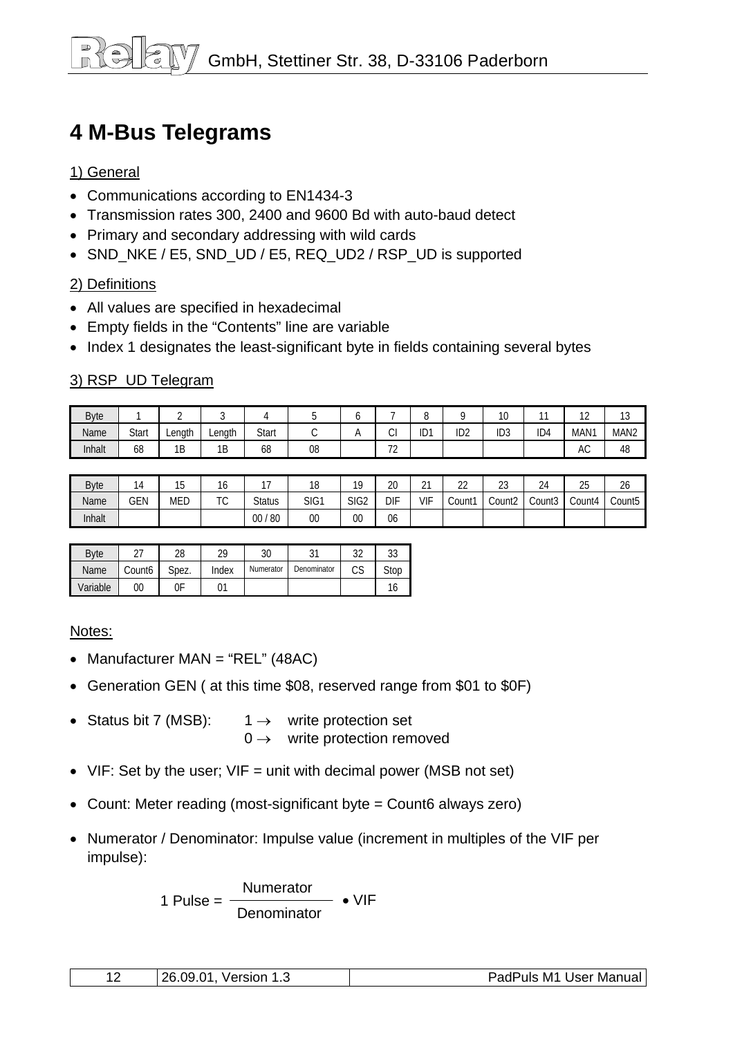# <span id="page-11-0"></span>**4 M-Bus Telegrams**

#### 1) General

- Communications according to EN1434-3
- Transmission rates 300, 2400 and 9600 Bd with auto-baud detect
- Primary and secondary addressing with wild cards
- SND\_NKE / E5, SND\_UD / E5, REQ\_UD2 / RSP\_UD is supported

#### 2) Definitions

- All values are specified in hexadecimal
- Empty fields in the "Contents" line are variable
- Index 1 designates the least-significant byte in fields containing several bytes

#### 3) RSP\_UD Telegram

| <b>Byte</b> |              |        |        |       |    |                                    | $\overline{\phantom{0}}$<br>ŏ |                 | 10<br>ט ו       | $\sim$          | $\sim$<br>. .    | $\sim$<br>ں ا    |
|-------------|--------------|--------|--------|-------|----|------------------------------------|-------------------------------|-----------------|-----------------|-----------------|------------------|------------------|
| Name        | <b>Start</b> | Lenath | ∟ength | Start | ◟. | $\sim$<br>◡                        | ID1                           | ID <sub>2</sub> | ID <sub>3</sub> | ID <sub>4</sub> | MAN <sub>1</sub> | MAN <sub>2</sub> |
| Inhalt      | 68           | 1B     | 1B     | 68    | 08 | $\overline{\phantom{a}}$<br>$\sim$ |                               |                 |                 |                 | AC               | 48               |

| <b>Byte</b> | $\overline{ }$<br>$\mu$ | <b>1 F</b><br> ე | טו                | $\sim$        | 18   | 10               | 20         | $\sim$<br>∠ | $\sim$<br><u>__</u> | $\sim$<br>دے       | 24     | ገፍ<br>∠J | $\sim$<br>26       |
|-------------|-------------------------|------------------|-------------------|---------------|------|------------------|------------|-------------|---------------------|--------------------|--------|----------|--------------------|
| Name        | GEN                     | <b>MED</b>       | $T^{\wedge}$<br>◡ | <b>Status</b> | SIG1 | SIG <sub>2</sub> | <b>DIF</b> | VIF         | Count1              | Count <sub>2</sub> | Count3 | Count4   | Count <sub>5</sub> |
| Inhalt      |                         |                  |                   | 80<br>$00\,$  | 00   | 00               | 06         |             |                     |                    |        |          |                    |

| <b>B</b> vte |        | 28    | ገዐ    | 30        |             | າາ      | n o<br>υJ |
|--------------|--------|-------|-------|-----------|-------------|---------|-----------|
| Name         | Count6 | Spez. | Index | Numerator | Denominator | rr<br>w | Stop      |
| Variable     | 00     | 0F    |       |           |             |         |           |

#### Notes:

- Manufacturer MAN = "REL" (48AC)
- Generation GEN ( at this time \$08, reserved range from \$01 to \$0F)
- Status bit 7 (MSB):  $1 \rightarrow$  write protection set  $0 \rightarrow$  write protection removed
- VIF: Set by the user; VIF = unit with decimal power (MSB not set)
- Count: Meter reading (most-significant byte = Count6 always zero)
- Numerator / Denominator: Impulse value (increment in multiples of the VIF per impulse):

Numerator 1 Pulse = • VIF **Denominator** 

| 26 09 01<br>Version<br>٠<br>. . | PadPuls<br>M1<br>∣ User Manual |
|---------------------------------|--------------------------------|
|---------------------------------|--------------------------------|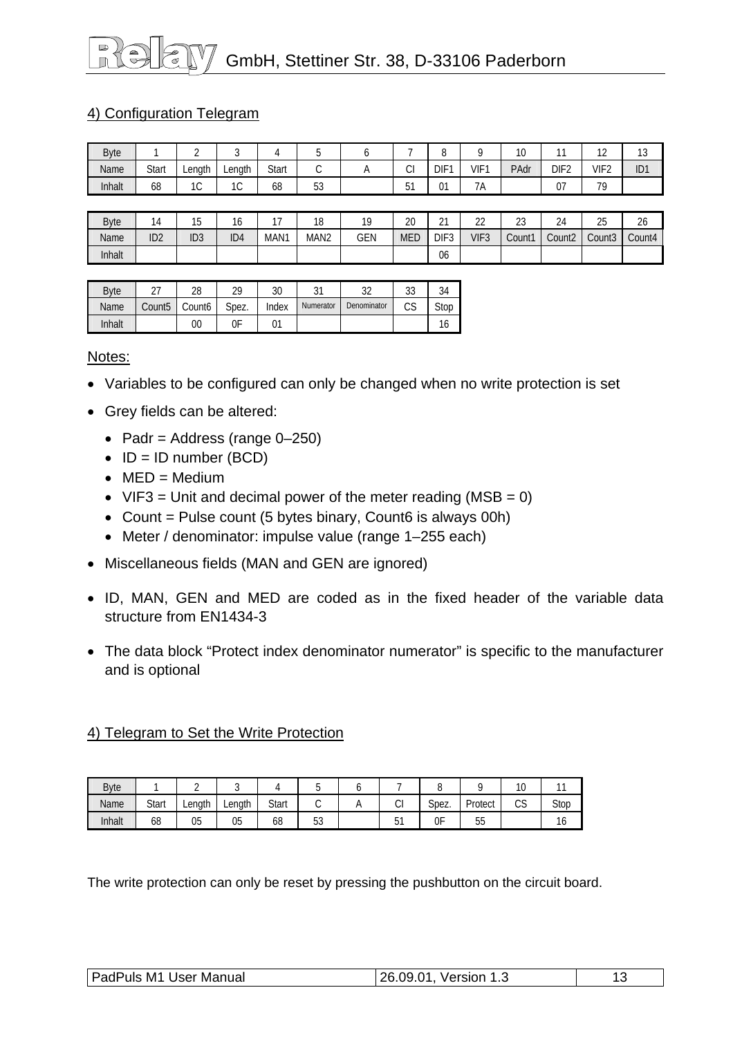# GmbH, Stettiner Str. 38, D-33106 Paderborn

#### 4) Configuration Telegram

| <b>Byte</b> |       |              |             |       |                     |          |              | -<br>◡           |                     | $\sim$<br>$\cdot$ U |                  | $\sim$<br>$\epsilon$ | $\sim$<br>ں ا   |
|-------------|-------|--------------|-------------|-------|---------------------|----------|--------------|------------------|---------------------|---------------------|------------------|----------------------|-----------------|
| Name        | Start | Lenath       | Lenath      | Start | ⌒<br>◡              | $\cdots$ | ົ<br>U       | DIF <sup>-</sup> | VIF <sup>1</sup>    | PAdr                | DIF <sub>2</sub> | VIF <sub>2</sub>     | ID <sub>1</sub> |
| Inhalt      | 68    | $\sim$<br>טו | $\sim$<br>◡ | 68    | $\mathsf{r}$<br>ັບບ |          | $-4$<br>ັບ ເ | 01               | $\sim$ $\sim$<br>7A |                     | $\sim$<br>v,     | 70                   |                 |

| <b>Byte</b> |                 | ن ا             | ١o              |      | 10<br>O          | 10         | ററ<br>۷J | $\sim$<br><u>_</u> | $\sim$<br><u>__</u> | $\sim$<br>ں ے | $\sim$<br>24       | つに<br>∠J           | 26     |
|-------------|-----------------|-----------------|-----------------|------|------------------|------------|----------|--------------------|---------------------|---------------|--------------------|--------------------|--------|
| Name        | ID <sub>2</sub> | ID <sub>3</sub> | ID <sub>4</sub> | MAN1 | MAN <sub>2</sub> | <b>GEN</b> | MED      | DIF <sub>3</sub>   | VIF <sub>3</sub>    | Count1        | Count <sub>2</sub> | Count <sub>3</sub> | Count4 |
| Inhalt      |                 |                 |                 |      |                  |            |          | 06                 |                     |               |                    |                    |        |

| <b>B</b> vte |                    | 28                 | 29    | 30    | ۰ر-<br>ັ  | າາ<br>ັ     | აა       | 34   |
|--------------|--------------------|--------------------|-------|-------|-----------|-------------|----------|------|
| Name         | Count <sub>5</sub> | Count <sub>6</sub> | Spez. | Index | Numerator | Denominator | ∩c<br>ıэ | Stop |
| Inhalt       |                    | 00                 | 0F    | 01    |           |             |          | ١o   |

Notes:

- Variables to be configured can only be changed when no write protection is set
- Grey fields can be altered:
	- Padr = Address (range  $0-250$ )
	- $\bullet$  ID = ID number (BCD)
	- $\bullet$  MED = Medium
	- VIF3 = Unit and decimal power of the meter reading (MSB =  $0$ )
	- Count = Pulse count  $(5 \text{ bytes binary}, \text{Count6 is always } 00\text{h})$
	- Meter / denominator: impulse value (range 1–255 each)
- Miscellaneous fields (MAN and GEN are ignored)
- ID, MAN, GEN and MED are coded as in the fixed header of the variable data structure from EN1434-3
- The data block "Protect index denominator numerator" is specific to the manufacturer and is optional

#### 4) Telegram to Set the Write Protection

| <b>Byte</b> |       |        | ັ      |       | v        | ъ. |        | ◡     |            | ×<br>$\sim$ |      |
|-------------|-------|--------|--------|-------|----------|----|--------|-------|------------|-------------|------|
| Name        | Start | Length | Length | Start | ັ        |    | ⌒<br>◡ | Spez. | Protect    | $\sim$<br>w | Stop |
| Inhalt      | 68    | 05     | 05     | 68    | 52<br>ບບ |    | ັ      | 0F    | $ -$<br>JJ |             | ιo   |

The write protection can only be reset by pressing the pushbutton on the circuit board.

| PadPuls M1 User Manual | 26.09.01, Version 1.3 |  |
|------------------------|-----------------------|--|
|                        |                       |  |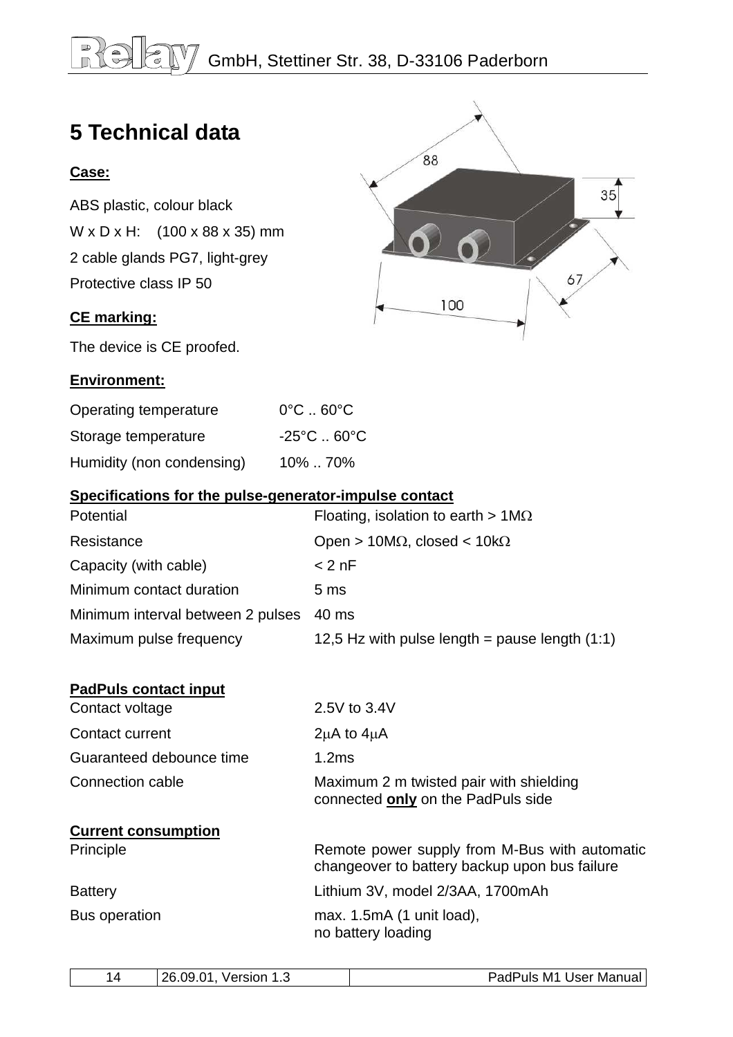## <span id="page-13-0"></span>**BIG** GmbH, Stettiner Str. 38, D-33106 Paderborn

88

100

 $35$ 

67

# **5 Technical data**

#### **Case:**

ABS plastic, colour black W x D x H: (100 x 88 x 35) mm 2 cable glands PG7, light-grey Protective class IP 50

#### **CE marking:**

The device is CE proofed.

#### **Environment:**

| Operating temperature     | $0^{\circ}$ C $\ldots$ 60 $^{\circ}$ C |
|---------------------------|----------------------------------------|
| Storage temperature       | $-25^{\circ}$ C  60 $^{\circ}$ C       |
| Humidity (non condensing) | 10%  70%                               |

#### **Specifications for the pulse-generator-impulse contact**

| Floating, isolation to earth $> 1 \text{M}\Omega$ |
|---------------------------------------------------|
| Open > 10M $\Omega$ , closed < 10k $\Omega$       |
| $< 2$ nF                                          |
| 5 <sub>ms</sub>                                   |
| 40 ms                                             |
| 12,5 Hz with pulse length = pause length $(1:1)$  |
|                                                   |

| <b>PadPuls contact input</b> |                                                                                                |
|------------------------------|------------------------------------------------------------------------------------------------|
| Contact voltage              | 2.5V to 3.4V                                                                                   |
| Contact current              | $2\mu$ A to $4\mu$ A                                                                           |
| Guaranteed debounce time     | 1.2ms                                                                                          |
| Connection cable             | Maximum 2 m twisted pair with shielding<br>connected only on the PadPuls side                  |
| <b>Current consumption</b>   |                                                                                                |
| Principle                    | Remote power supply from M-Bus with automatic<br>changeover to battery backup upon bus failure |
| <b>Battery</b>               | Lithium 3V, model 2/3AA, 1700mAh                                                               |
| Bus operation                | max. $1.5mA$ (1 unit load),<br>no battery loading                                              |
|                              |                                                                                                |

|  | つぬ<br>ng<br>٦1<br>Version<br>14<br> | Manual<br>ulser i<br>. M1<br>'uls<br>aur |
|--|-------------------------------------|------------------------------------------|
|--|-------------------------------------|------------------------------------------|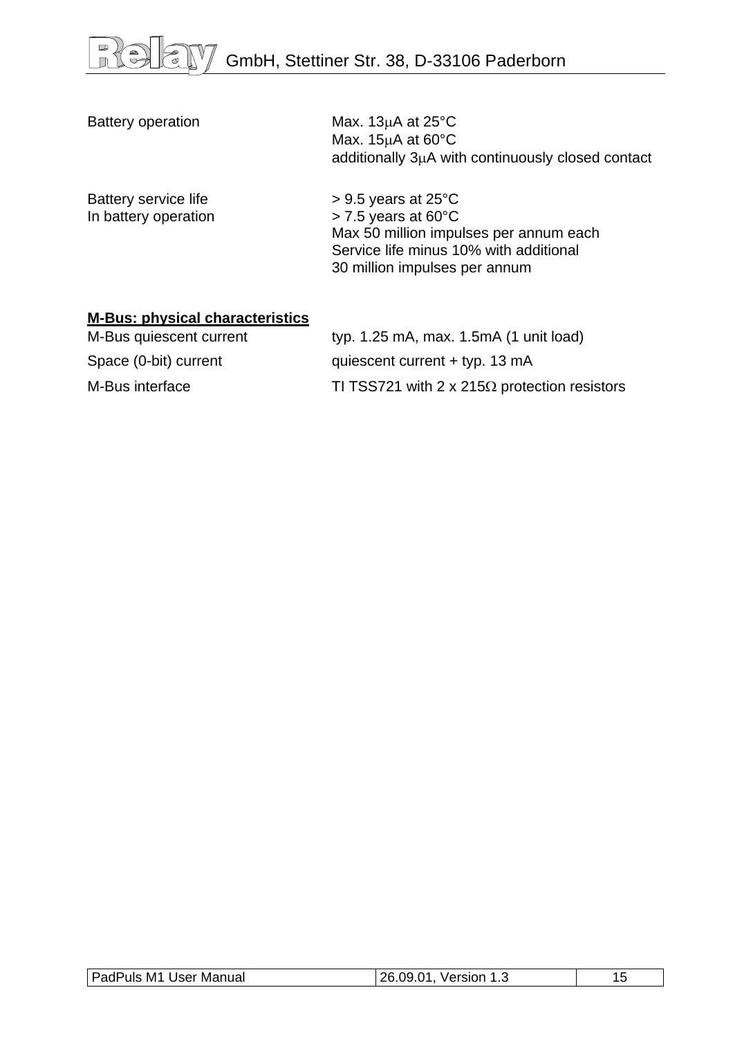| <b>Battery operation</b>                     | Max. $13\mu$ A at $25^{\circ}$ C<br>Max. $15\mu A$ at 60 $\degree$ C<br>additionally 3µA with continuously closed contact                                                                |
|----------------------------------------------|------------------------------------------------------------------------------------------------------------------------------------------------------------------------------------------|
| Battery service life<br>In battery operation | $> 9.5$ years at 25 $\degree$ C<br>$>$ 7.5 years at 60 $^{\circ}$ C<br>Max 50 million impulses per annum each<br>Service life minus 10% with additional<br>30 million impulses per annum |

#### **M-Bus: physical characteristics**

| M-Bus quiescent current | typ. $1.25$ mA, max. $1.5$ mA $(1 \text{ unit load})$ |
|-------------------------|-------------------------------------------------------|
| Space (0-bit) current   | quiescent current $+$ typ. 13 mA                      |
| M-Bus interface         | TI TSS721 with 2 x 215 $\Omega$ protection resistors  |

| PadPuls M1 User Manual<br>26.09.01,<br>Version 1.3 |  |
|----------------------------------------------------|--|
|----------------------------------------------------|--|